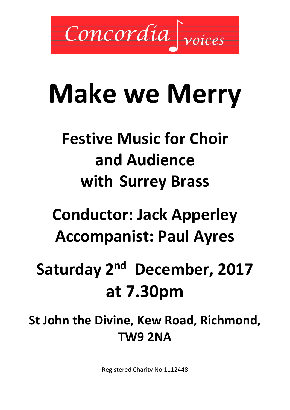

# **Make we Merry**

### **Festive Music for Choir and Audience with Surrey Brass**

## **Conductor: Jack Apperley Accompanist: Paul Ayres**

## Saturday 2<sup>nd</sup> December, 2017 **at 7.30pm**

**St John the Divine, Kew Road, Richmond, TW9 2NA**

Registered Charity No 1112448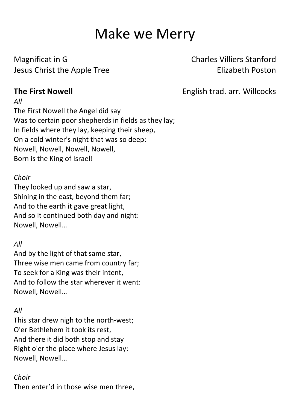### Make we Merry

Magnificat in G<br>
Charles Villiers Stanford Jesus Christ the Apple Tree **Elizabeth Poston** 

**The First Nowell English trad. arr. Willcocks** 

The First Nowell the Angel did say Was to certain poor shepherds in fields as they lay; In fields where they lay, keeping their sheep, On a cold winter's night that was so deep: Nowell, Nowell, Nowell, Nowell, Born is the King of Israel!

#### *Choir*

*All*

They looked up and saw a star, Shining in the east, beyond them far; And to the earth it gave great light, And so it continued both day and night: Nowell, Nowell…

#### *All*

And by the light of that same star, Three wise men came from country far; To seek for a King was their intent, And to follow the star wherever it went: Nowell, Nowell…

#### *All*

This star drew nigh to the north-west; O'er Bethlehem it took its rest, And there it did both stop and stay Right o'er the place where Jesus lay: Nowell, Nowell…

#### *Choir*

Then enter'd in those wise men three,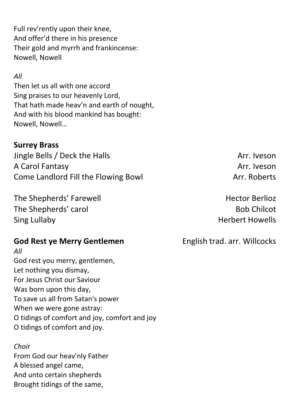Full rev'rently upon their knee, And offer'd there in his presence Their gold and myrrh and frankincense: Nowell, Nowell

#### *All*

Then let us all with one accord Sing praises to our heavenly Lord, That hath made heav'n and earth of nought, And with his blood mankind has bought: Nowell, Nowell…

#### **Surrey Brass**

Jingle Bells / Deck the Halls Arr. Iveson A Carol Fantasy Arr. Iveson Come Landlord Fill the Flowing Bowl **Arr. Roberts** 

The Shepherds' Farewell **Hector Berlioz Hector Berlioz** The Shepherds' carol and a state of the Shepherds' carol and the Shepherds' carol Sing Lullaby **Herbert Howells** 

#### **God Rest ye Merry Gentlemen** English trad. arr. Willcocks

*All* God rest you merry, gentlemen, Let nothing you dismay, For Jesus Christ our Saviour Was born upon this day, To save us all from Satan's power When we were gone astray: O tidings of comfort and joy, comfort and joy O tidings of comfort and joy.

*Choir* From God our heav'nly Father A blessed angel came, And unto certain shepherds Brought tidings of the same,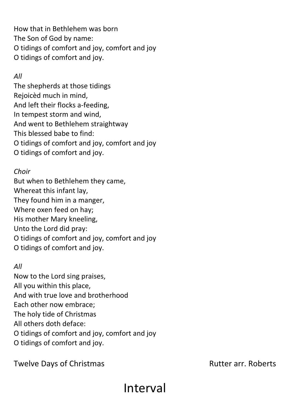How that in Bethlehem was born The Son of God by name: O tidings of comfort and joy, comfort and joy O tidings of comfort and joy.

#### *All*

The shepherds at those tidings Rejoicèd much in mind, And left their flocks a-feeding, In tempest storm and wind, And went to Bethlehem straightway This blessed babe to find: O tidings of comfort and joy, comfort and joy O tidings of comfort and joy.

#### *Choir*

But when to Bethlehem they came, Whereat this infant lay, They found him in a manger, Where oxen feed on hay; His mother Mary kneeling, Unto the Lord did pray: O tidings of comfort and joy, comfort and joy O tidings of comfort and joy.

#### *All*

Now to the Lord sing praises, All you within this place, And with true love and brotherhood Each other now embrace; The holy tide of Christmas All others doth deface: O tidings of comfort and joy, comfort and joy O tidings of comfort and joy.

Interval

Twelve Days of Christmas Twelve Days of Christmas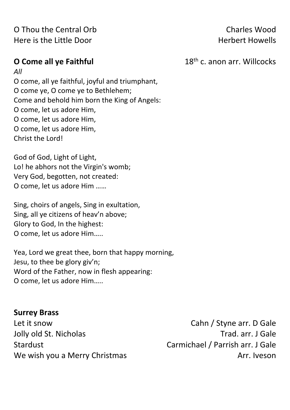O Thou the Central Orb Charles Wood Here is the Little Door **Herbert Howells** 

**O Come all ye Faithful** 28th c. anon arr. Willcocks

*All* O come, all ye faithful, joyful and triumphant, O come ye, O come ye to Bethlehem; Come and behold him born the King of Angels: O come, let us adore Him, O come, let us adore Him, O come, let us adore Him, Christ the Lord!

God of God, Light of Light, Lo! he abhors not the Virgin's womb; Very God, begotten, not created: O come, let us adore Him ……

Sing, choirs of angels, Sing in exultation, Sing, all ye citizens of heav'n above; Glory to God, In the highest: O come, let us adore Him…..

Yea, Lord we great thee, born that happy morning, Jesu, to thee be glory giv'n; Word of the Father, now in flesh appearing: O come, let us adore Him…..

#### **Surrey Brass**

Let it snow Cahn / Styne arr. D Gale Jolly old St. Nicholas Trad. arr. J Gale Stardust Carmichael / Parrish arr. J Gale We wish you a Merry Christmas Manuson Number 2012 and Manuson Arr. Iveson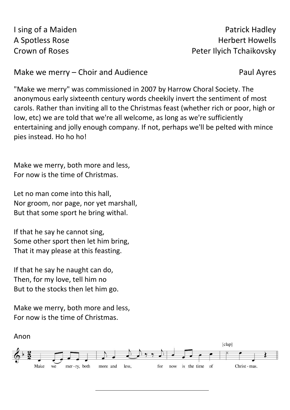I sing of a Maiden **Patrick Hadley** A Spotless Rose **Herbert Howells** Crown of Roses **Peter Ilyich Tchaikovsky** 

Make we merry – Choir and Audience Paul Ayres

"Make we merry" was commissioned in 2007 by Harrow Choral Society. The anonymous early sixteenth century words cheekily invert the sentiment of most carols. Rather than inviting all to the Christmas feast (whether rich or poor, high or low, etc) we are told that we're all welcome, as long as we're sufficiently entertaining and jolly enough company. If not, perhaps we'll be pelted with mince pies instead. Ho ho ho!

Make we merry, both more and less, For now is the time of Christmas.

Let no man come into this hall, Nor groom, nor page, nor yet marshall, But that some sport he bring withal.

If that he say he cannot sing, Some other sport then let him bring, That it may please at this feasting.

If that he say he naught can do, Then, for my love, tell him no But to the stocks then let him go.

Make we merry, both more and less, For now is the time of Christmas.

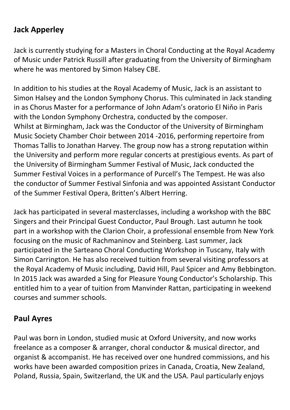#### **Jack Apperley**

Jack is currently studying for a Masters in Choral Conducting at the Royal Academy of Music under Patrick Russill after graduating from the University of Birmingham where he was mentored by Simon Halsey CBE.

In addition to his studies at the Royal Academy of Music, Jack is an assistant to Simon Halsey and the London Symphony Chorus. This culminated in Jack standing in as Chorus Master for a performance of John Adam's oratorio El Niňo in Paris with the London Symphony Orchestra, conducted by the composer. Whilst at Birmingham, Jack was the Conductor of the University of Birmingham Music Society Chamber Choir between 2014 -2016, performing repertoire from Thomas Tallis to Jonathan Harvey. The group now has a strong reputation within the University and perform more regular concerts at prestigious events. As part of the University of Birmingham Summer Festival of Music, Jack conducted the Summer Festival Voices in a performance of Purcell's The Tempest. He was also the conductor of Summer Festival Sinfonia and was appointed Assistant Conductor of the Summer Festival Opera, Britten's Albert Herring.

Jack has participated in several masterclasses, including a workshop with the BBC Singers and their Principal Guest Conductor, Paul Brough. Last autumn he took part in a workshop with the Clarion Choir, a professional ensemble from New York focusing on the music of Rachmaninov and Steinberg. Last summer, Jack participated in the Sarteano Choral Conducting Workshop in Tuscany, Italy with Simon Carrington. He has also received tuition from several visiting professors at the Royal Academy of Music including, David Hill, Paul Spicer and Amy Bebbington. In 2015 Jack was awarded a Sing for Pleasure Young Conductor's Scholarship. This entitled him to a year of tuition from Manvinder Rattan, participating in weekend courses and summer schools.

#### **Paul Ayres**

Paul was born in London, studied music at Oxford University, and now works freelance as a composer & arranger, choral conductor & musical director, and organist & accompanist. He has received over one hundred commissions, and his works have been awarded composition prizes in Canada, Croatia, New Zealand, Poland, Russia, Spain, Switzerland, the UK and the USA. Paul particularly enjoys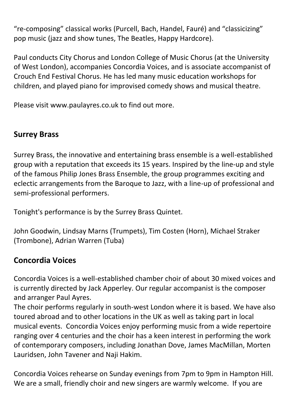"re-composing" classical works (Purcell, Bach, Handel, Fauré) and "classicizing" pop music (jazz and show tunes, The Beatles, Happy Hardcore).

Paul conducts City Chorus and London College of Music Chorus (at the University of West London), accompanies Concordia Voices, and is associate accompanist of Crouch End Festival Chorus. He has led many music education workshops for children, and played piano for improvised comedy shows and musical theatre.

Please visit www.paulayres.co.uk to find out more.

#### **Surrey Brass**

Surrey Brass, the innovative and entertaining brass ensemble is a well-established group with a reputation that exceeds its 15 years. Inspired by the line-up and style of the famous Philip Jones Brass Ensemble, the group programmes exciting and eclectic arrangements from the Baroque to Jazz, with a line-up of professional and semi-professional performers.

Tonight's performance is by the Surrey Brass Quintet.

John Goodwin, Lindsay Marns (Trumpets), Tim Costen (Horn), Michael Straker (Trombone), Adrian Warren (Tuba)

#### **Concordia Voices**

Concordia Voices is a well-established chamber choir of about 30 mixed voices and is currently directed by Jack Apperley. Our regular accompanist is the composer and arranger Paul Ayres.

The choir performs regularly in south-west London where it is based. We have also toured abroad and to other locations in the UK as well as taking part in local musical events. Concordia Voices enjoy performing music from a wide repertoire ranging over 4 centuries and the choir has a keen interest in performing the work of contemporary composers, including Jonathan Dove, James MacMillan, Morten Lauridsen, John Tavener and Naji Hakim.

Concordia Voices rehearse on Sunday evenings from 7pm to 9pm in Hampton Hill. We are a small, friendly choir and new singers are warmly welcome. If you are